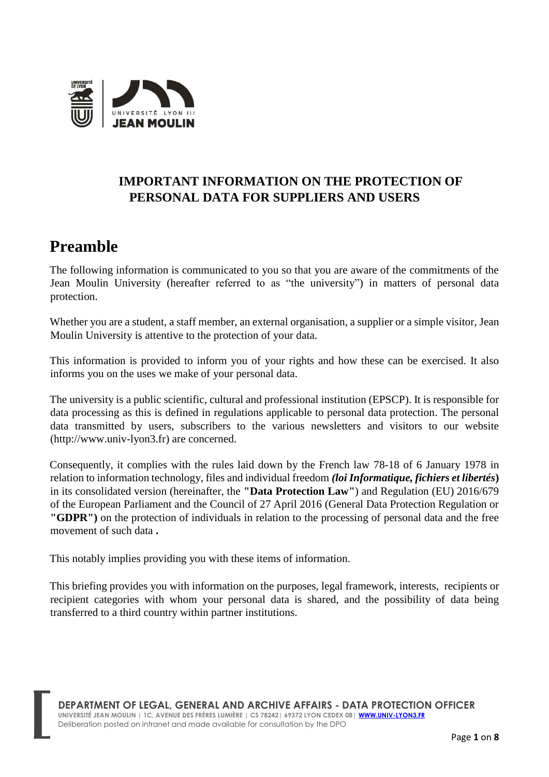

### **IMPORTANT INFORMATION ON THE PROTECTION OF PERSONAL DATA FOR SUPPLIERS AND USERS**

# **Preamble**

The following information is communicated to you so that you are aware of the commitments of the Jean Moulin University (hereafter referred to as "the university") in matters of personal data protection.

Whether you are a student, a staff member, an external organisation, a supplier or a simple visitor, Jean Moulin University is attentive to the protection of your data.

This information is provided to inform you of your rights and how these can be exercised. It also informs you on the uses we make of your personal data.

The university is a public scientific, cultural and professional institution (EPSCP). It is responsible for data processing as this is defined in regulations applicable to personal data protection. The personal data transmitted by users, subscribers to the various newsletters and visitors to our website (http://www.univ-lyon3.fr) are concerned.

Consequently, it complies with the rules laid down by the French law 78-18 of 6 January 1978 in relation to information technology, files and individual freedom *(loi Informatique, fichiers et libertés***)** in its consolidated version (hereinafter, the **"Data Protection Law"**) and Regulation (EU) 2016/679 of the European Parliament and the Council of 27 April 2016 (General Data Protection Regulation or **"GDPR")** on the protection of individuals in relation to the processing of personal data and the free movement of such data **.** 

This notably implies providing you with these items of information.

This briefing provides you with information on the purposes, legal framework, interests, recipients or recipient categories with whom your personal data is shared, and the possibility of data being transferred to a third country within partner institutions.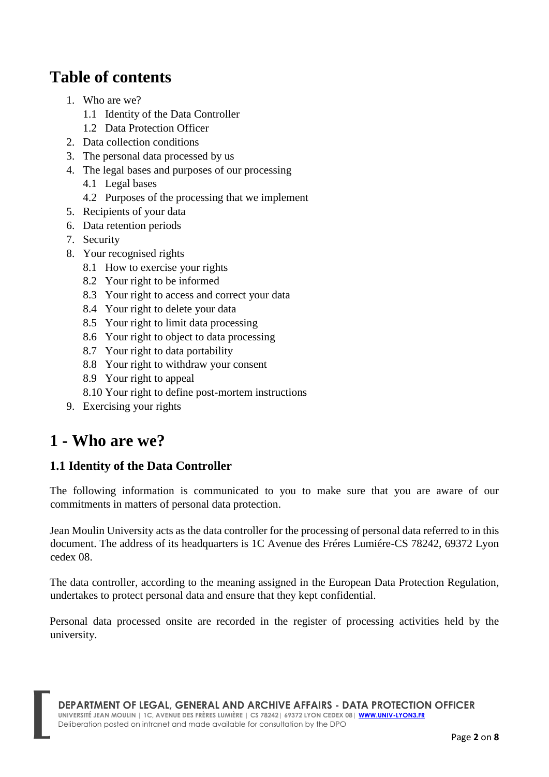# **Table of contents**

- 1. Who are we?
	- 1.1 Identity of the Data Controller
	- 1.2 Data Protection Officer
- 2. Data collection conditions
- 3. The personal data processed by us
- 4. The legal bases and purposes of our processing
	- 4.1 Legal bases
	- 4.2 Purposes of the processing that we implement
- 5. Recipients of your data
- 6. Data retention periods
- 7. Security
- 8. Your recognised rights
	- 8.1 How to exercise your rights
	- 8.2 Your right to be informed
	- 8.3 Your right to access and correct your data
	- 8.4 Your right to delete your data
	- 8.5 Your right to limit data processing
	- 8.6 Your right to object to data processing
	- 8.7 Your right to data portability
	- 8.8 Your right to withdraw your consent
	- 8.9 Your right to appeal
	- 8.10 Your right to define post-mortem instructions
- 9. Exercising your rights

# **1 - Who are we?**

### **1.1 Identity of the Data Controller**

The following information is communicated to you to make sure that you are aware of our commitments in matters of personal data protection.

Jean Moulin University acts as the data controller for the processing of personal data referred to in this document. The address of its headquarters is 1C Avenue des Fréres Lumiére-CS 78242, 69372 Lyon cedex 08.

The data controller, according to the meaning assigned in the European Data Protection Regulation, undertakes to protect personal data and ensure that they kept confidential.

Personal data processed onsite are recorded in the register of processing activities held by the university.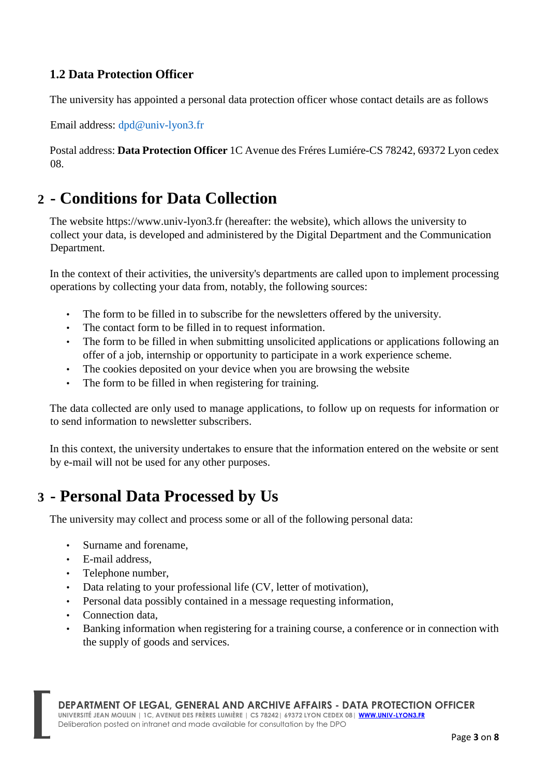### **1.2 Data Protection Officer**

The university has appointed a personal data protection officer whose contact details are as follows

Email address: dpd@univ-lyon3.fr

Postal address: **Data Protection Officer** 1C Avenue des Fréres Lumiére-CS 78242, 69372 Lyon cedex 08.

## **2 - Conditions for Data Collection**

The website https://www.univ-lyon3.fr (hereafter: the website), which allows the university to collect your data, is developed and administered by the Digital Department and the Communication Department.

In the context of their activities, the university's departments are called upon to implement processing operations by collecting your data from, notably, the following sources:

- The form to be filled in to subscribe for the newsletters offered by the university.
- The contact form to be filled in to request information.
- The form to be filled in when submitting unsolicited applications or applications following an offer of a job, internship or opportunity to participate in a work experience scheme.
- The cookies deposited on your device when you are browsing the website
- The form to be filled in when registering for training.

The data collected are only used to manage applications, to follow up on requests for information or to send information to newsletter subscribers.

In this context, the university undertakes to ensure that the information entered on the website or sent by e-mail will not be used for any other purposes.

## **3 - Personal Data Processed by Us**

The university may collect and process some or all of the following personal data:

- Surname and forename,
- E-mail address,
- Telephone number,
- Data relating to your professional life (CV, letter of motivation),
- Personal data possibly contained in a message requesting information,
- Connection data,
- Banking information when registering for a training course, a conference or in connection with the supply of goods and services.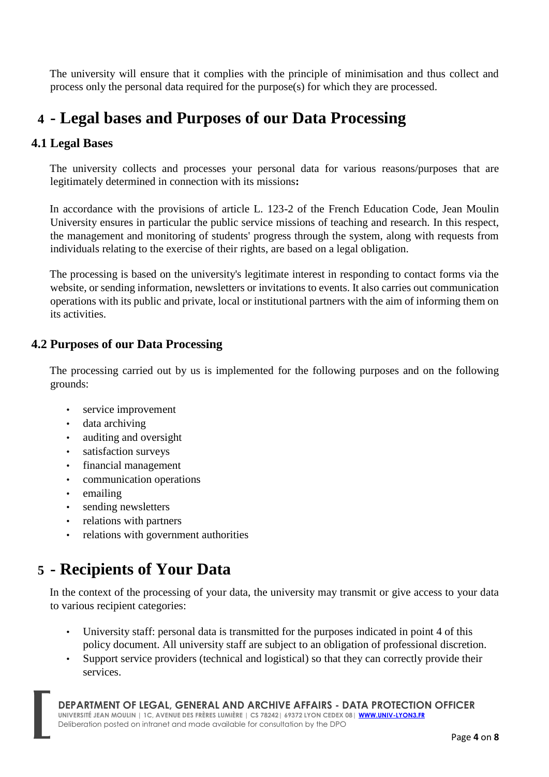The university will ensure that it complies with the principle of minimisation and thus collect and process only the personal data required for the purpose(s) for which they are processed.

## **4 - Legal bases and Purposes of our Data Processing**

### **4.1 Legal Bases**

The university collects and processes your personal data for various reasons/purposes that are legitimately determined in connection with its missions**:** 

In accordance with the provisions of article L. 123-2 of the French Education Code, Jean Moulin University ensures in particular the public service missions of teaching and research. In this respect, the management and monitoring of students' progress through the system, along with requests from individuals relating to the exercise of their rights, are based on a legal obligation.

The processing is based on the university's legitimate interest in responding to contact forms via the website, or sending information, newsletters or invitations to events. It also carries out communication operations with its public and private, local or institutional partners with the aim of informing them on its activities.

### **4.2 Purposes of our Data Processing**

The processing carried out by us is implemented for the following purposes and on the following grounds:

- service improvement
- data archiving
- auditing and oversight
- satisfaction surveys
- financial management
- communication operations
- emailing
- sending newsletters
- relations with partners
- relations with government authorities

## **5 - Recipients of Your Data**

In the context of the processing of your data, the university may transmit or give access to your data to various recipient categories:

- University staff: personal data is transmitted for the purposes indicated in point 4 of this policy document. All university staff are subject to an obligation of professional discretion.
- Support service providers (technical and logistical) so that they can correctly provide their services.

**DEPARTMENT OF LEGAL, GENERAL AND ARCHIVE AFFAIRS - DATA PROTECTION OFFICER UNIVERSITÉ JEAN MOULIN | 1C, AVENUE DES FRÈRES LUMIÈRE | CS 78242| 69372 LYON CEDEX 08| WWW.UNIV-LYON3.FR**  Deliberation posted on intranet and made available for consultation by the DPO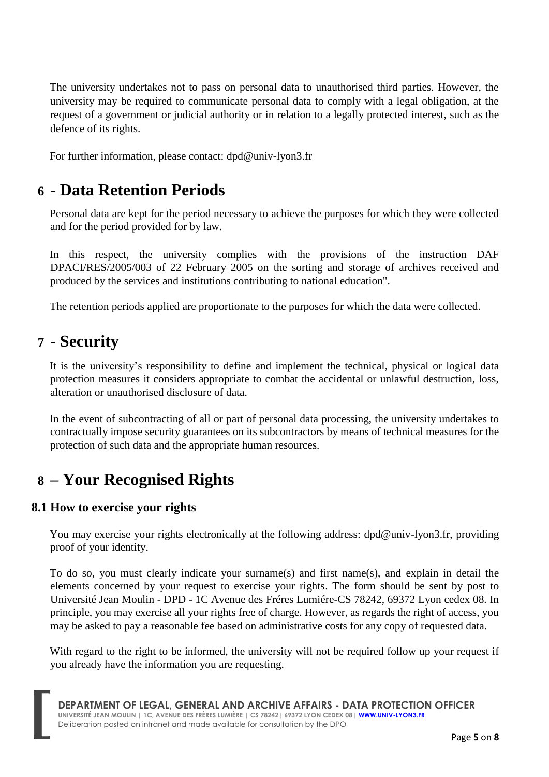The university undertakes not to pass on personal data to unauthorised third parties. However, the university may be required to communicate personal data to comply with a legal obligation, at the request of a government or judicial authority or in relation to a legally protected interest, such as the defence of its rights.

For further information, please contact: dpd@univ-lyon3.fr

# **6 - Data Retention Periods**

Personal data are kept for the period necessary to achieve the purposes for which they were collected and for the period provided for by law.

In this respect, the university complies with the provisions of the instruction DAF DPACI/RES/2005/003 of 22 February 2005 on the sorting and storage of archives received and produced by the services and institutions contributing to national education".

The retention periods applied are proportionate to the purposes for which the data were collected.

# **7 - Security**

It is the university's responsibility to define and implement the technical, physical or logical data protection measures it considers appropriate to combat the accidental or unlawful destruction, loss, alteration or unauthorised disclosure of data.

In the event of subcontracting of all or part of personal data processing, the university undertakes to contractually impose security guarantees on its subcontractors by means of technical measures for the protection of such data and the appropriate human resources.

# **8 – Your Recognised Rights**

### **8.1 How to exercise your rights**

You may exercise your rights electronically at the following address: dpd@univ-lyon3.fr, providing proof of your identity.

To do so, you must clearly indicate your surname(s) and first name(s), and explain in detail the elements concerned by your request to exercise your rights. The form should be sent by post to Université Jean Moulin - DPD - 1C Avenue des Fréres Lumiére-CS 78242, 69372 Lyon cedex 08. In principle, you may exercise all your rights free of charge. However, as regards the right of access, you may be asked to pay a reasonable fee based on administrative costs for any copy of requested data.

With regard to the right to be informed, the university will not be required follow up your request if you already have the information you are requesting.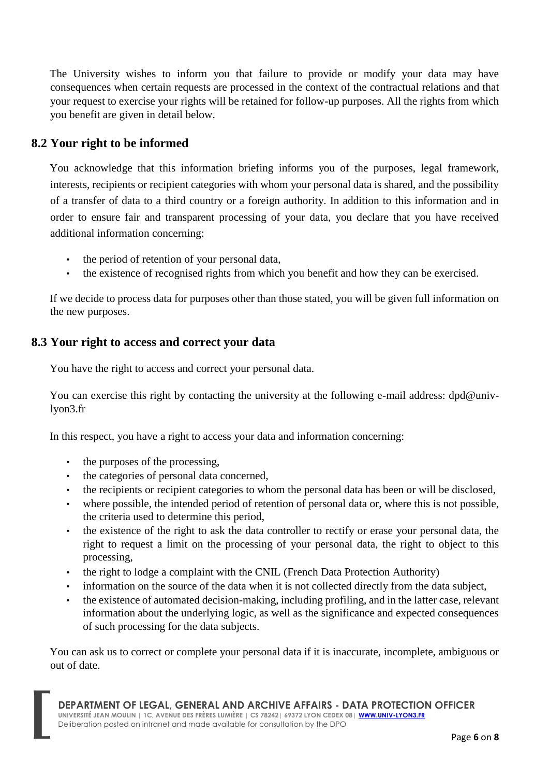The University wishes to inform you that failure to provide or modify your data may have consequences when certain requests are processed in the context of the contractual relations and that your request to exercise your rights will be retained for follow-up purposes. All the rights from which you benefit are given in detail below.

### **8.2 Your right to be informed**

You acknowledge that this information briefing informs you of the purposes, legal framework, interests, recipients or recipient categories with whom your personal data is shared, and the possibility of a transfer of data to a third country or a foreign authority. In addition to this information and in order to ensure fair and transparent processing of your data, you declare that you have received additional information concerning:

- the period of retention of your personal data,
- the existence of recognised rights from which you benefit and how they can be exercised.

If we decide to process data for purposes other than those stated, you will be given full information on the new purposes.

### **8.3 Your right to access and correct your data**

You have the right to access and correct your personal data.

You can exercise this right by contacting the university at the following e-mail address:  $dpd@$ univlyon3.fr

In this respect, you have a right to access your data and information concerning:

- the purposes of the processing,
- the categories of personal data concerned,
- the recipients or recipient categories to whom the personal data has been or will be disclosed,
- where possible, the intended period of retention of personal data or, where this is not possible, the criteria used to determine this period,
- the existence of the right to ask the data controller to rectify or erase your personal data, the right to request a limit on the processing of your personal data, the right to object to this processing,
- the right to lodge a complaint with the CNIL (French Data Protection Authority)
- information on the source of the data when it is not collected directly from the data subject,
- the existence of automated decision-making, including profiling, and in the latter case, relevant information about the underlying logic, as well as the significance and expected consequences of such processing for the data subjects.

You can ask us to correct or complete your personal data if it is inaccurate, incomplete, ambiguous or out of date.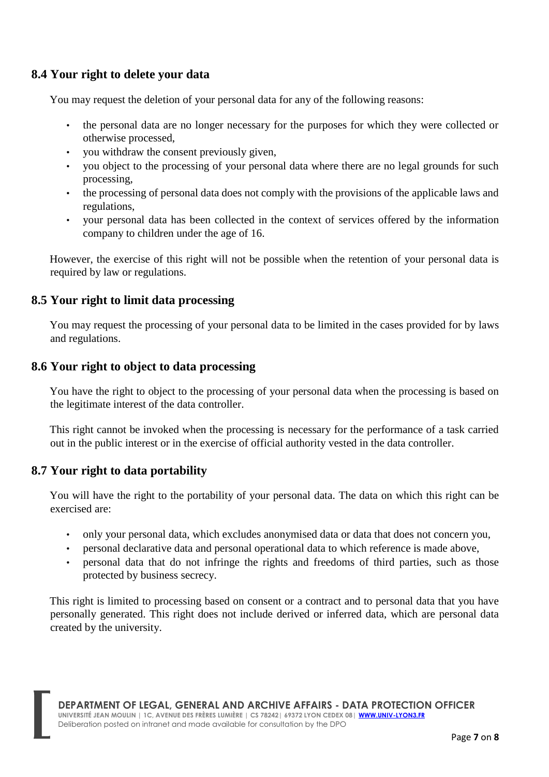### **8.4 Your right to delete your data**

You may request the deletion of your personal data for any of the following reasons:

- the personal data are no longer necessary for the purposes for which they were collected or otherwise processed,
- you withdraw the consent previously given,
- you object to the processing of your personal data where there are no legal grounds for such processing,
- the processing of personal data does not comply with the provisions of the applicable laws and regulations,
- your personal data has been collected in the context of services offered by the information company to children under the age of 16.

However, the exercise of this right will not be possible when the retention of your personal data is required by law or regulations.

#### **8.5 Your right to limit data processing**

You may request the processing of your personal data to be limited in the cases provided for by laws and regulations.

#### **8.6 Your right to object to data processing**

You have the right to object to the processing of your personal data when the processing is based on the legitimate interest of the data controller.

This right cannot be invoked when the processing is necessary for the performance of a task carried out in the public interest or in the exercise of official authority vested in the data controller.

#### **8.7 Your right to data portability**

You will have the right to the portability of your personal data. The data on which this right can be exercised are:

- only your personal data, which excludes anonymised data or data that does not concern you,
- personal declarative data and personal operational data to which reference is made above,
- personal data that do not infringe the rights and freedoms of third parties, such as those protected by business secrecy.

This right is limited to processing based on consent or a contract and to personal data that you have personally generated. This right does not include derived or inferred data, which are personal data created by the university.